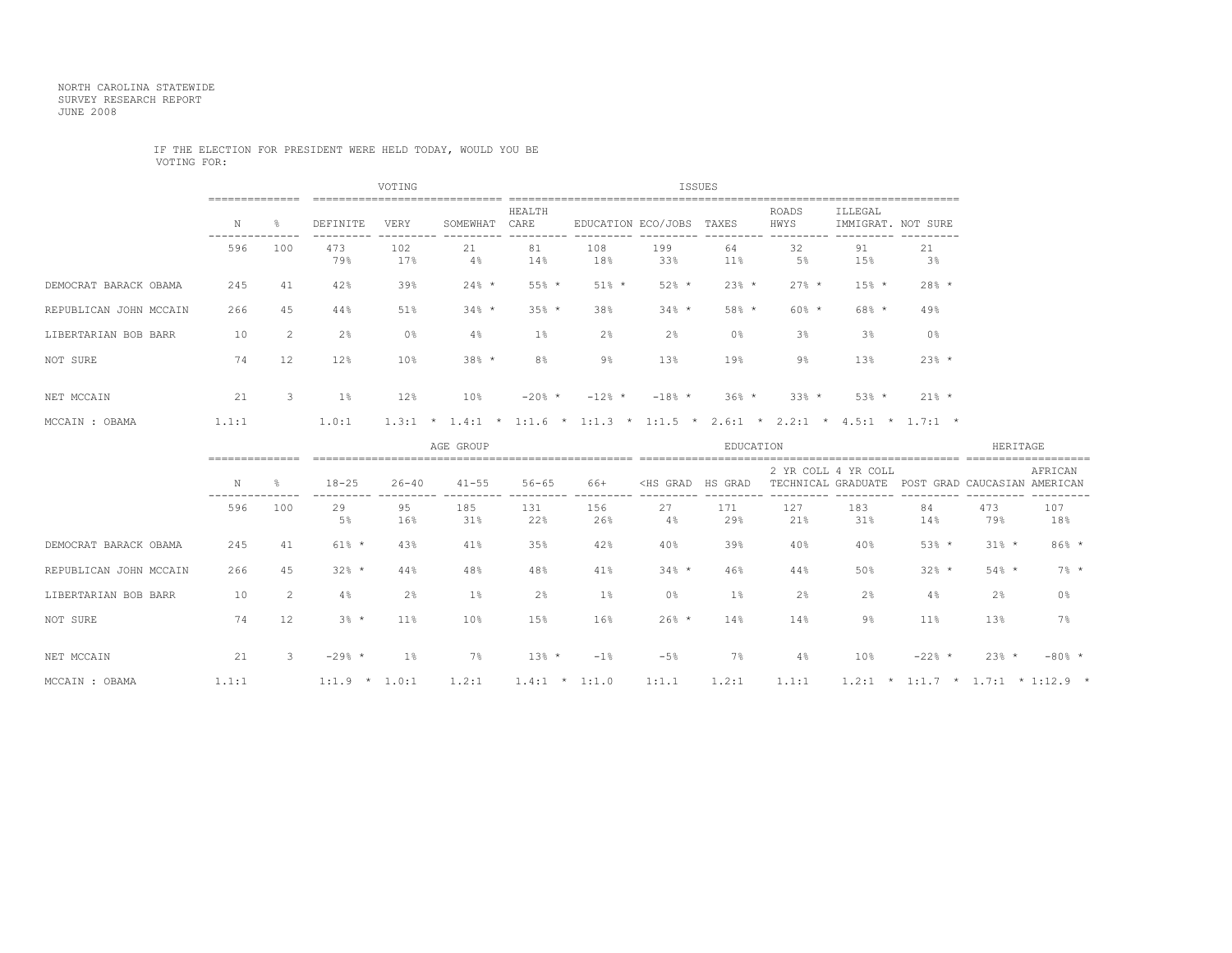## NORTH CAROLINA STATEWIDE SURVEY RESEARCH REPORT JUNE 2008

## IF THE ELECTION FOR PRESIDENT WERE HELD TODAY, WOULD YOU BE VOTING FOR:

|                        |                    |                |            | VOTING          |                 |                                      | ISSUES                                                |            |              |                      |                                                       |                |  |  |
|------------------------|--------------------|----------------|------------|-----------------|-----------------|--------------------------------------|-------------------------------------------------------|------------|--------------|----------------------|-------------------------------------------------------|----------------|--|--|
|                        | N<br>$\frac{6}{5}$ |                | DEFINITE   | VERY            | SOMEWHAT        | HEALTH<br>CARE<br>EDUCATION ECO/JOBS |                                                       |            | TAXES        | <b>ROADS</b><br>HWYS | ILLEGAL<br>IMMIGRAT. NOT SURE                         |                |  |  |
|                        | 596                | 100            | 473<br>79% | 102<br>17%      | 21<br>$4\%$     | 81<br>14%                            | 108<br>18%                                            | 199<br>33% | 64<br>$11\%$ | 32<br>5%             | 91<br>15%                                             | 21<br>$3\%$    |  |  |
| DEMOCRAT BARACK OBAMA  | 245                | 41             | 42%        | 39%             | $24\%$ *        | $55%$ *                              | $51%$ *                                               | $52%$ *    | $23%$ *      | $27\%$ *             | $15%$ *                                               | $28%$ *        |  |  |
| REPUBLICAN JOHN MCCAIN | 266                | 45             | 44%        | 51%             | $34%$ *         | $35%$ *                              | 38%                                                   | $34%$ *    | $58%$ *      | $60\%$ *             | $68%$ *                                               | 49%            |  |  |
| LIBERTARIAN BOB BARR   | 10                 | $\overline{2}$ | $2\%$      | 0 <sup>8</sup>  | $4\%$           | $1\%$                                | $2\%$                                                 | 2%         | $0\,$        | 3 <sup>8</sup>       | 3 <sup>8</sup>                                        | 0 <sup>°</sup> |  |  |
| NOT SURE               | 74                 | 12             | 12%        | 10 <sub>8</sub> | $38%$ *         | 8 <sup>°</sup>                       | 9%                                                    | 13%        | 19%          | $9\%$                | 13%                                                   | $23%$ *        |  |  |
| NET MCCAIN             | 21                 | 3              | $1\%$      | 12%             | 10 <sub>8</sub> | $-20\%$ *                            | $-12%$ *                                              | $-18%$ *   | $36\%$ *     | $33\%$ *             | $53%$ *                                               | $21\%$ *       |  |  |
| MCCAIN : OBAMA         | 1.1:1              |                | 1.0:1      | $1.3:1$ *       |                 |                                      | $1.4:1 \times 1:1.6 \times 1:1.3 \times 1:1.5 \times$ |            |              |                      | $2.6:1 \times 2.2:1 \times 4.5:1 \times 1.7:1 \times$ |                |  |  |

|                        | AGE GROUP |     |                 |                |            |            |            |                                                                                                                                                              | EDUCATION  | HERITAGE           |                     |                            |                         |                  |
|------------------------|-----------|-----|-----------------|----------------|------------|------------|------------|--------------------------------------------------------------------------------------------------------------------------------------------------------------|------------|--------------------|---------------------|----------------------------|-------------------------|------------------|
|                        | N         |     | $18 - 25$       | $26 - 40$      | $41 - 55$  | $56 - 65$  | 66+        | <hs grad<="" th=""><th>HS GRAD</th><th>TECHNICAL GRADUATE</th><th>2 YR COLL 4 YR COLL</th><th>POST</th><th>GRAD CAUCASIAN AMERICAN</th><th>AFRICAN</th></hs> | HS GRAD    | TECHNICAL GRADUATE | 2 YR COLL 4 YR COLL | POST                       | GRAD CAUCASIAN AMERICAN | AFRICAN          |
|                        | 596       | 100 | 29<br>5%        | 95<br>16%      | 185<br>31% | 131<br>22% | 156<br>26% | 27<br>4%                                                                                                                                                     | 171<br>29% | 127<br>21%         | 183<br>31%          | 84<br>14%                  | 473<br>79%              | 107<br>18%       |
| DEMOCRAT BARACK OBAMA  | 245       | 41  | $61\%$ *        | 43%            | 41%        | 35%        | 42%        | 40%                                                                                                                                                          | 39%        | 40%                | 40%                 | $53%$ *                    | $31%$ *                 | $86%$ *          |
| REPUBLICAN JOHN MCCAIN | 266       | 45  | $32%$ *         | 44%            | 48%        | 48%        | 41%        | $34%$ *                                                                                                                                                      | 46%        | 44%                | 50%                 | $32%$ *                    | $54\%$ *                | $7\frac{6}{9}$ * |
| LIBERTARIAN BOB BARR   | 10        | 2   | 4%              | $2\frac{6}{9}$ | $1\%$      | 2%         | 1%         | $0\,$                                                                                                                                                        | 1%         | 2%                 | 2%                  | 4%                         | 2%                      | $0\,$            |
| NOT SURE               | 74        | 12  | $3\%$ *         | $11\%$         | 10%        | 15%        | 16%        | $26\%$ *                                                                                                                                                     | 14%        | 14%                | 9%                  | $11\%$                     | 13%                     | 7%               |
| NET MCCAIN             | 21        | 3   | $-29%$ *        | $1\%$          | 7%         | $13%$ *    | $-1$ %     | $-5%$                                                                                                                                                        | 7%         | 4%                 | 10%                 | $-22$ % *                  | $23%$ *                 | $-80%$ *         |
| MCCAIN : OBAMA         | 1.1:1     |     | $1:1.9$ * 1.0:1 |                | 1.2:1      | $1.4:1$ *  | 1:1:0      | 1:1.1                                                                                                                                                        | 1.2:1      | 1.1:1              | 1.2:1               | * 1:1.7 * 1.7:1 * 1:12.9 * |                         |                  |